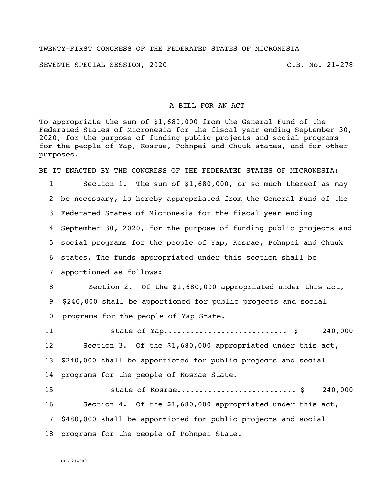## TWENTY-FIRST CONGRESS OF THE FEDERATED STATES OF MICRONESIA

SEVENTH SPECIAL SESSION, 2020 C.B. No. 21-278

i<br>L

## A BILL FOR AN ACT

To appropriate the sum of \$1,680,000 from the General Fund of the Federated States of Micronesia for the fiscal year ending September 30, 2020, for the purpose of funding public projects and social programs for the people of Yap, Kosrae, Pohnpei and Chuuk states, and for other purposes.

BE IT ENACTED BY THE CONGRESS OF THE FEDERATED STATES OF MICRONESIA:

 Section 1. The sum of \$1,680,000, or so much thereof as may be necessary, is hereby appropriated from the General Fund of the Federated States of Micronesia for the fiscal year ending September 30, 2020, for the purpose of funding public projects and social programs for the people of Yap, Kosrae, Pohnpei and Chuuk states. The funds appropriated under this section shall be apportioned as follows: Section 2. Of the \$1,680,000 appropriated under this act, \$240,000 shall be apportioned for public projects and social

programs for the people of Yap State.

 state of Yap............................ \$ 240,000 Section 3. Of the \$1,680,000 appropriated under this act, \$240,000 shall be apportioned for public projects and social programs for the people of Kosrae State.

 state of Kosrae........................... \$ 240,000 Section 4. Of the \$1,680,000 appropriated under this act, \$480,000 shall be apportioned for public projects and social programs for the people of Pohnpei State.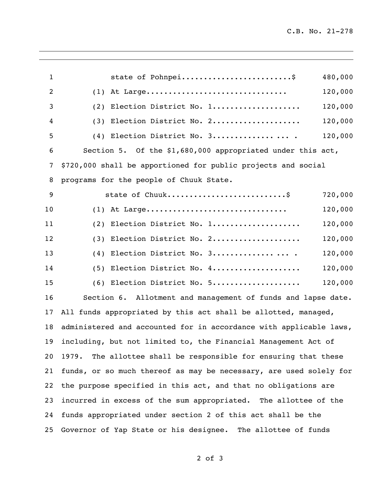| $\mathbf{1}$    | state of Pohnpei                                                   | 480,000 |
|-----------------|--------------------------------------------------------------------|---------|
| $\overline{2}$  | At Large<br>(1)                                                    | 120,000 |
| 3               | Election District No. 1<br>(2)                                     | 120,000 |
| 4               | Election District No. 2<br>(3)                                     | 120,000 |
| 5               | Election District No. 3<br>(4)                                     | 120,000 |
| 6               | Section 5. Of the \$1,680,000 appropriated under this act,         |         |
| 7               | \$720,000 shall be apportioned for public projects and social      |         |
| 8               | programs for the people of Chuuk State.                            |         |
| 9               |                                                                    | 720,000 |
| 10              | $(1)$ At Large                                                     | 120,000 |
| 11              | Election District No. 1<br>(2)                                     | 120,000 |
| 12              | Election District No. 2<br>(3)                                     | 120,000 |
| 13              | Election District No. 3<br>(4)                                     | 120,000 |
| 14              | Election District No. 4<br>(5)                                     | 120,000 |
| 15              | (6) Election District No. 5                                        | 120,000 |
| 16              | Section 6. Allotment and management of funds and lapse date.       |         |
| 17              | All funds appropriated by this act shall be allotted, managed,     |         |
| 18              | administered and accounted for in accordance with applicable laws, |         |
|                 | 19 including, but not limited to, the Financial Management Act of  |         |
| 20              | 1979. The allottee shall be responsible for ensuring that these    |         |
| 21              | funds, or so much thereof as may be necessary, are used solely for |         |
| 22              | the purpose specified in this act, and that no obligations are     |         |
| 23              | incurred in excess of the sum appropriated. The allottee of the    |         |
| 24              | funds appropriated under section 2 of this act shall be the        |         |
| 25 <sub>2</sub> | Governor of Yap State or his designee. The allottee of funds       |         |